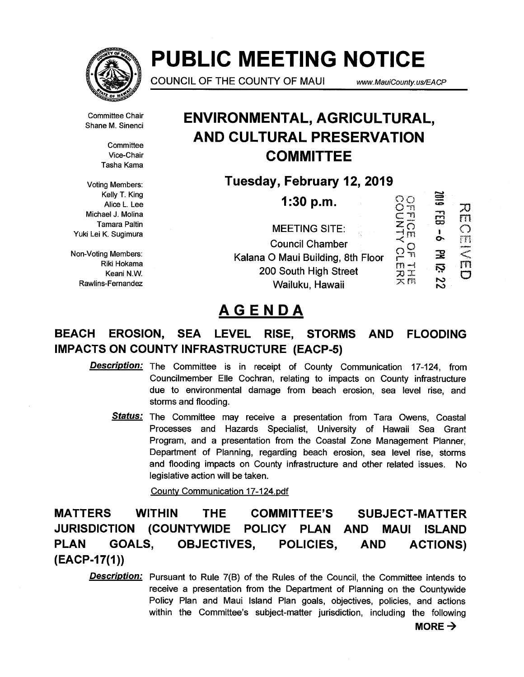

# **PUBLIC MEETING NOTICE**

**COUNCIL OF THE COUNTY OF MAUI** www.MauiCounty.us/EACP

Committee Chair Shane M. Sinenci

> **Committee** Vice-Chair Tasha Kama

Voting Members: Kelly T. King Alice L. Lee Michael J. Molina Tamara Paltin Yuki Lei K. Sugimura

Non-Voting Members: Riki Hokama Keani N.W. Rawlins-Fernandez

### **ENVIRONMENTAL, AGRICULTURAL, AND CULTURAL PRESERVATION COMMITTEE**

**Tuesday, February 12, 2019** 

| 1:30 p.m.                         |      | Ë |  |
|-----------------------------------|------|---|--|
| <b>MEETING SITE:</b>              |      |   |  |
| <b>Council Chamber</b>            |      |   |  |
| Kalana O Maui Building, 8th Floor |      | 꿒 |  |
| 200 South High Street             | أسعد | Ņ |  |
| Wailuku, Hawaii                   | 文郎   |   |  |

## **AGENDA**

### **BEACH EROSION, SEA LEVEL RISE, STORMS AND FLOODING IMPACTS ON COUNTY INFRASTRUCTURE (EACP-5)**

**Description:** The Committee is in receipt of County Communication 17-124, from Councilmember Elle Cochran, relating to impacts on County infrastructure due to environmental damage from beach erosion, sea level rise, and storms and flooding.

**Status:** The Committee may receive a presentation from Tara Owens, Coastal Processes and Hazards Specialist, University of Hawaii Sea Grant Program, and a presentation from the Coastal Zone Management Planner, Department of Planning, regarding beach erosion, sea level rise, storms and flooding impacts on County infrastructure and other related issues. No legislative action will be taken.

County Communication 17-124.pdf

**MATTERS WITHIN THE COMMITTEE'S SUBJECT-MATTER JURISDICTION (COUNTYWIDE POLICY PLAN AND MAUI ISLAND PLAN GOALS, OBJECTIVES, POLICIES, AND ACTIONS) (EACP-17(1))** 

**Description:** Pursuant to Rule 7(B) of the Rules of the Council, the Committee intends to receive a presentation from the Department of Planning on the Countywide Policy Plan and Maui Island Plan goals, objectives, policies, and actions within the Committee's subject-matter jurisdiction, including the following

 $MORE \rightarrow$